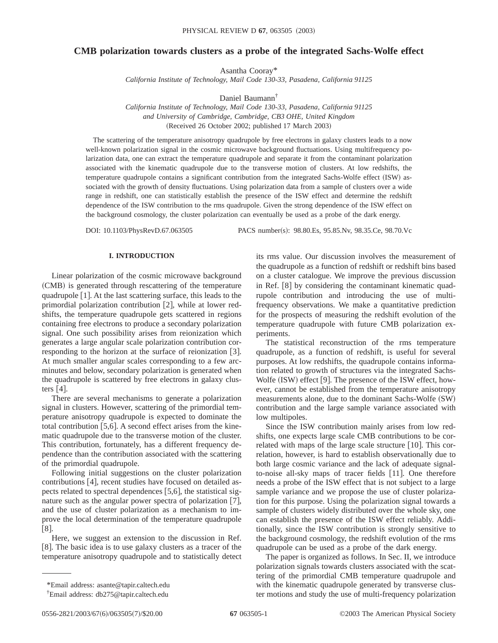# **CMB polarization towards clusters as a probe of the integrated Sachs-Wolfe effect**

Asantha Cooray\*

*California Institute of Technology, Mail Code 130-33, Pasadena, California 91125*

Daniel Baumann<sup>†</sup>

*California Institute of Technology, Mail Code 130-33, Pasadena, California 91125 and University of Cambridge, Cambridge, CB3 OHE, United Kingdom* (Received 26 October 2002; published 17 March 2003)

The scattering of the temperature anisotropy quadrupole by free electrons in galaxy clusters leads to a now well-known polarization signal in the cosmic microwave background fluctuations. Using multifrequency polarization data, one can extract the temperature quadrupole and separate it from the contaminant polarization associated with the kinematic quadrupole due to the transverse motion of clusters. At low redshifts, the temperature quadrupole contains a significant contribution from the integrated Sachs-Wolfe effect (ISW) associated with the growth of density fluctuations. Using polarization data from a sample of clusters over a wide range in redshift, one can statistically establish the presence of the ISW effect and determine the redshift dependence of the ISW contribution to the rms quadrupole. Given the strong dependence of the ISW effect on the background cosmology, the cluster polarization can eventually be used as a probe of the dark energy.

DOI: 10.1103/PhysRevD.67.063505 PACS number(s): 98.80.Es, 95.85.Nv, 98.35.Ce, 98.70.Vc

# **I. INTRODUCTION**

Linear polarization of the cosmic microwave background (CMB) is generated through rescattering of the temperature quadrupole  $[1]$ . At the last scattering surface, this leads to the primordial polarization contribution  $[2]$ , while at lower redshifts, the temperature quadrupole gets scattered in regions containing free electrons to produce a secondary polarization signal. One such possibility arises from reionization which generates a large angular scale polarization contribution corresponding to the horizon at the surface of reionization  $[3]$ . At much smaller angular scales corresponding to a few arcminutes and below, secondary polarization is generated when the quadrupole is scattered by free electrons in galaxy clusters  $[4]$ .

There are several mechanisms to generate a polarization signal in clusters. However, scattering of the primordial temperature anisotropy quadrupole is expected to dominate the total contribution  $[5,6]$ . A second effect arises from the kinematic quadrupole due to the transverse motion of the cluster. This contribution, fortunately, has a different frequency dependence than the contribution associated with the scattering of the primordial quadrupole.

Following initial suggestions on the cluster polarization contributions  $[4]$ , recent studies have focused on detailed aspects related to spectral dependences  $[5,6]$ , the statistical signature such as the angular power spectra of polarization  $[7]$ , and the use of cluster polarization as a mechanism to improve the local determination of the temperature quadrupole  $|8|$ .

Here, we suggest an extension to the discussion in Ref. [8]. The basic idea is to use galaxy clusters as a tracer of the temperature anisotropy quadrupole and to statistically detect its rms value. Our discussion involves the measurement of the quadrupole as a function of redshift or redshift bins based on a cluster catalogue. We improve the previous discussion in Ref.  $[8]$  by considering the contaminant kinematic quadrupole contribution and introducing the use of multifrequency observations. We make a quantitative prediction for the prospects of measuring the redshift evolution of the temperature quadrupole with future CMB polarization experiments.

The statistical reconstruction of the rms temperature quadrupole, as a function of redshift, is useful for several purposes. At low redshifts, the quadrupole contains information related to growth of structures via the integrated Sachs-Wolfe  $(ISW)$  effect [9]. The presence of the ISW effect, however, cannot be established from the temperature anisotropy measurements alone, due to the dominant Sachs-Wolfe (SW) contribution and the large sample variance associated with low multipoles.

Since the ISW contribution mainly arises from low redshifts, one expects large scale CMB contributions to be correlated with maps of the large scale structure  $[10]$ . This correlation, however, is hard to establish observationally due to both large cosmic variance and the lack of adequate signalto-noise all-sky maps of tracer fields  $[11]$ . One therefore needs a probe of the ISW effect that is not subject to a large sample variance and we propose the use of cluster polarization for this purpose. Using the polarization signal towards a sample of clusters widely distributed over the whole sky, one can establish the presence of the ISW effect reliably. Additionally, since the ISW contribution is strongly sensitive to the background cosmology, the redshift evolution of the rms quadrupole can be used as a probe of the dark energy.

The paper is organized as follows. In Sec. II, we introduce polarization signals towards clusters associated with the scattering of the primordial CMB temperature quadrupole and with the kinematic quadrupole generated by transverse cluster motions and study the use of multi-frequency polarization

<sup>\*</sup>Email address: asante@tapir.caltech.edu

<sup>†</sup> Email address: db275@tapir.caltech.edu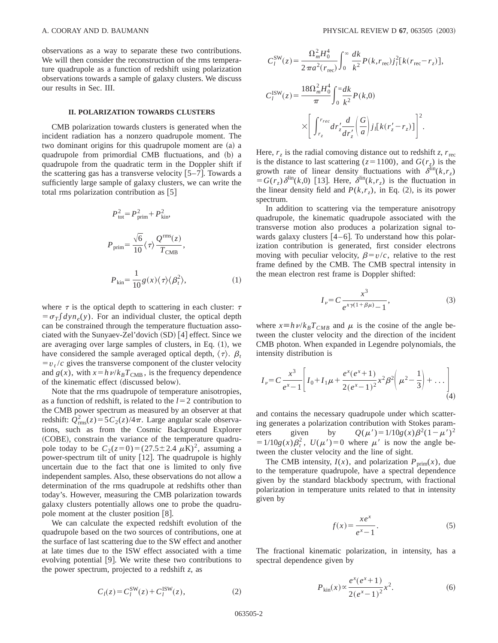observations as a way to separate these two contributions. We will then consider the reconstruction of the rms temperature quadrupole as a function of redshift using polarization observations towards a sample of galaxy clusters. We discuss our results in Sec. III.

#### **II. POLARIZATION TOWARDS CLUSTERS**

CMB polarization towards clusters is generated when the incident radiation has a nonzero quadrupole moment. The two dominant origins for this quadrupole moment are (a) a quadrupole from primordial CMB fluctuations, and (b) a quadrupole from the quadratic term in the Doppler shift if the scattering gas has a transverse velocity  $[5-7]$ . Towards a sufficiently large sample of galaxy clusters, we can write the total rms polarization contribution as  $[5]$ 

$$
P_{\text{tot}}^2 = P_{\text{prim}}^2 + P_{\text{kin}}^2,
$$
  

$$
P_{\text{prim}} = \frac{\sqrt{6}}{10} \langle \tau \rangle \frac{Q^{\text{rms}}(z)}{T_{\text{CMB}}},
$$
  

$$
P_{\text{kin}} = \frac{1}{10} g(x) \langle \tau \rangle \langle \beta_i^2 \rangle,
$$
 (1)

where  $\tau$  is the optical depth to scattering in each cluster:  $\tau$  $= \sigma_T \int dy n_e(y)$ . For an individual cluster, the optical depth can be constrained through the temperature fluctuation associated with the Sunyaev-Zel'dovich  $(SD)$  [4] effect. Since we are averaging over large samples of clusters, in Eq.  $(1)$ , we have considered the sample averaged optical depth,  $\langle \tau \rangle$ .  $\beta_t$  $=v_t/c$  gives the transverse component of the cluster velocity and  $g(x)$ , with  $x=h\nu/k_BT<sub>CMB</sub>$ , is the frequency dependence of the kinematic effect (discussed below).

Note that the rms quadrupole of temperature anisotropies, as a function of redshift, is related to the  $l=2$  contribution to the CMB power spectrum as measured by an observer at that redshift:  $Q_{\text{rms}}^2(z) = 5C_2(z)/4\pi$ . Large angular scale observations, such as from the Cosmic Background Explorer (COBE), constrain the variance of the temperature quadrupole today to be  $C_2(z=0) = (27.5 \pm 2.4 \ \mu K)^2$ , assuming a power-spectrum tilt of unity [12]. The quadrupole is highly uncertain due to the fact that one is limited to only five independent samples. Also, these observations do not allow a determination of the rms quadrupole at redshifts other than today's. However, measuring the CMB polarization towards galaxy clusters potentially allows one to probe the quadrupole moment at the cluster position  $[8]$ .

We can calculate the expected redshift evolution of the quadrupole based on the two sources of contributions, one at the surface of last scattering due to the SW effect and another at late times due to the ISW effect associated with a time evolving potential [9]. We write these two contributions to the power spectrum, projected to a redshift *z*, as

$$
C_{l}^{\text{SW}}(z) = \frac{\Omega_{m}^{2} H_{0}^{4}}{2 \pi a^{2} (r_{\text{rec}})} \int_{0}^{\infty} \frac{dk}{k^{2}} P(k, r_{\text{rec}}) j_{l}^{2} [k(r_{\text{rec}} - r_{z})],
$$
  
\n
$$
C_{l}^{\text{ISW}}(z) = \frac{18 \Omega_{m}^{2} H_{0}^{4}}{\pi} \int_{0}^{\infty} \frac{dk}{k^{2}} P(k, 0)
$$
  
\n
$$
\times \left[ \int_{r_{z}}^{r_{rec}} dr_{z}^{\prime} \frac{d}{dr_{z}^{\prime}} \left( \frac{G}{a} \right) j_{l} [k(r_{z}^{\prime} - r_{z})] \right]^{2}.
$$

Here,  $r<sub>z</sub>$  is the radial comoving distance out to redshift *z*,  $r<sub>rec</sub>$ is the distance to last scattering ( $z=1100$ ), and  $G(r<sub>z</sub>)$  is the growth rate of linear density fluctuations with  $\delta^{\text{lin}}(k, r_{z})$  $= G(r_z) \delta^{\text{lin}}(k,0)$  [13]. Here,  $\delta^{\text{lin}}(k,r_z)$  is the fluctuation in the linear density field and  $P(k, r<sub>z</sub>)$ , in Eq. (2), is its power spectrum.

In addition to scattering via the temperature anisotropy quadrupole, the kinematic quadrupole associated with the transverse motion also produces a polarization signal towards galaxy clusters  $[4-6]$ . To understand how this polarization contribution is generated, first consider electrons moving with peculiar velocity,  $\beta = v/c$ , relative to the rest frame defined by the CMB. The CMB spectral intensity in the mean electron rest frame is Doppler shifted:

$$
I_{\nu} = C \frac{x^3}{e^{x\gamma(1+\beta\mu)} - 1},
$$
\n(3)

where  $x = h \nu / k_B T_{CMB}$  and  $\mu$  is the cosine of the angle between the cluster velocity and the direction of the incident CMB photon. When expanded in Legendre polynomials, the intensity distribution is

$$
I_{\nu} = C \frac{x^3}{e^x - 1} \left[ I_0 + I_1 \mu + \frac{e^x (e^x + 1)}{2(e^x - 1)^2} x^2 \beta^2 \left( \mu^2 - \frac{1}{3} \right) + \dots \right] \tag{4}
$$

and contains the necessary quadrupole under which scattering generates a polarization contribution with Stokes parameters given by  $Q(\mu') = 1/10g(x)\beta^2(1-\mu')^2$  $=1/10g(x)\beta_t^2$ ,  $U(\mu')=0$  where  $\mu'$  is now the angle between the cluster velocity and the line of sight.

The CMB intensity,  $I(x)$ , and polarization  $P_{\text{prim}}(x)$ , due to the temperature quadrupole, have a spectral dependence given by the standard blackbody spectrum, with fractional polarization in temperature units related to that in intensity given by

$$
f(x) = \frac{xe^x}{e^x - 1}.
$$
 (5)

The fractional kinematic polarization, in intensity, has a spectral dependence given by

$$
P_{\text{kin}}(x) \propto \frac{e^x (e^x + 1)}{2(e^x - 1)^2} x^2.
$$
 (6)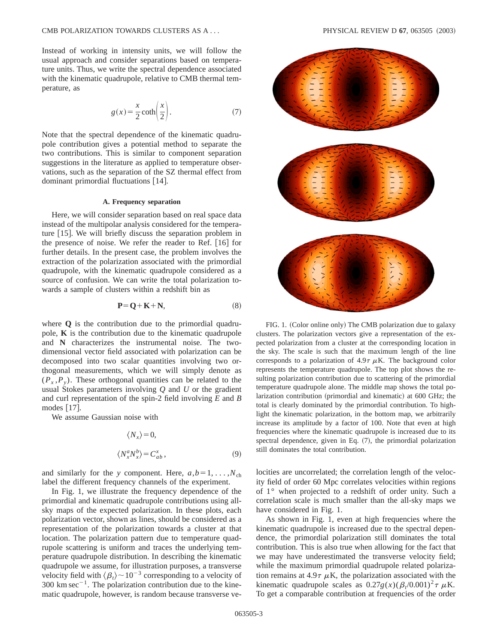Instead of working in intensity units, we will follow the usual approach and consider separations based on temperature units. Thus, we write the spectral dependence associated with the kinematic quadrupole, relative to CMB thermal temperature, as

$$
g(x) = \frac{x}{2} \coth\left(\frac{x}{2}\right). \tag{7}
$$

Note that the spectral dependence of the kinematic quadrupole contribution gives a potential method to separate the two contributions. This is similar to component separation suggestions in the literature as applied to temperature observations, such as the separation of the SZ thermal effect from dominant primordial fluctuations  $[14]$ .

# **A. Frequency separation**

Here, we will consider separation based on real space data instead of the multipolar analysis considered for the temperature  $[15]$ . We will briefly discuss the separation problem in the presence of noise. We refer the reader to Ref.  $[16]$  for further details. In the present case, the problem involves the extraction of the polarization associated with the primordial quadrupole, with the kinematic quadrupole considered as a source of confusion. We can write the total polarization towards a sample of clusters within a redshift bin as

$$
P = Q + K + N,\tag{8}
$$

where **Q** is the contribution due to the primordial quadrupole, **K** is the contribution due to the kinematic quadrupole and **N** characterizes the instrumental noise. The twodimensional vector field associated with polarization can be decomposed into two scalar quantities involving two orthogonal measurements, which we will simply denote as  $(P_x, P_y)$ . These orthogonal quantities can be related to the usual Stokes parameters involving *Q* and *U* or the gradient and curl representation of the spin-2 field involving *E* and *B* modes  $[17]$ .

We assume Gaussian noise with

$$
\langle N_x \rangle = 0,
$$
  

$$
\langle N_x^a N_x^b \rangle = C_{ab}^x,
$$
 (9)

and similarly for the *y* component. Here,  $a, b = 1, \ldots, N_{ch}$ label the different frequency channels of the experiment.

In Fig. 1, we illustrate the frequency dependence of the primordial and kinematic quadrupole contributions using allsky maps of the expected polarization. In these plots, each polarization vector, shown as lines, should be considered as a representation of the polarization towards a cluster at that location. The polarization pattern due to temperature quadrupole scattering is uniform and traces the underlying temperature quadrupole distribution. In describing the kinematic quadrupole we assume, for illustration purposes, a transverse velocity field with  $\langle \beta_t \rangle \sim 10^{-3}$  corresponding to a velocity of  $300 \text{ km sec}^{-1}$ . The polarization contribution due to the kinematic quadrupole, however, is random because transverse ve-



FIG. 1. (Color online only) The CMB polarization due to galaxy clusters. The polarization vectors give a representation of the expected polarization from a cluster at the corresponding location in the sky. The scale is such that the maximum length of the line corresponds to a polarization of  $4.9\tau \mu K$ . The background color represents the temperature quadrupole. The top plot shows the resulting polarization contribution due to scattering of the primordial temperature quadrupole alone. The middle map shows the total polarization contribution (primordial and kinematic) at 600 GHz; the total is clearly dominated by the primordial contribution. To highlight the kinematic polarization, in the bottom map, we arbitrarily increase its amplitude by a factor of 100. Note that even at high frequencies where the kinematic quadrupole is increased due to its spectral dependence, given in Eq.  $(7)$ , the primordial polarization still dominates the total contribution.

locities are uncorrelated; the correlation length of the velocity field of order 60 Mpc correlates velocities within regions of 1° when projected to a redshift of order unity. Such a correlation scale is much smaller than the all-sky maps we have considered in Fig. 1.

As shown in Fig. 1, even at high frequencies where the kinematic quadrupole is increased due to the spectral dependence, the primordial polarization still dominates the total contribution. This is also true when allowing for the fact that we may have underestimated the transverse velocity field; while the maximum primordial quadrupole related polarization remains at 4.9 $\tau$   $\mu$ K, the polarization associated with the kinematic quadrupole scales as  $0.27g(x)(\beta_t/0.001)^2\tau \mu K$ . To get a comparable contribution at frequencies of the order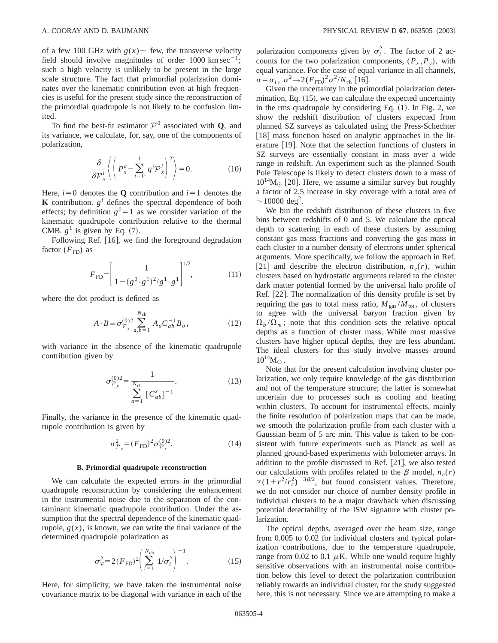of a few 100 GHz with  $g(x)$  few, the transverse velocity field should involve magnitudes of order 1000 km sec<sup>-1</sup>; such a high velocity is unlikely to be present in the large scale structure. The fact that primordial polarization dominates over the kinematic contribution even at high frequencies is useful for the present study since the reconstruction of the primordial quadrupole is not likely to be confusion limited.

To find the best-fit estimator  $\mathcal{P}^0$  associated with **Q**, and its variance, we calculate, for, say, one of the components of polarization,

$$
\frac{\delta}{\delta \mathcal{P}_x^i} \left\langle \left( P_x^a - \sum_{i=0}^1 \, g^i \mathcal{P}_x^i \right)^2 \right\rangle = 0. \tag{10}
$$

Here,  $i=0$  denotes the **Q** contribution and  $i=1$  denotes the **K** contribution.  $g^i$  defines the spectral dependence of both effects; by definition  $g^0=1$  as we consider variation of the kinematic quadrupole contribution relative to the thermal CMB.  $g^1$  is given by Eq. (7).

Following Ref. [16], we find the foreground degradation factor  $(F_{FD})$  as

$$
F_{\rm FD} = \left[ \frac{1}{1 - (g^0 \cdot g^1)^2 / g^1 \cdot g^1} \right]^{1/2},\tag{11}
$$

where the dot product is defined as

$$
A \cdot B \equiv \sigma_{\mathcal{P}_x}^{(0)2} \sum_{a,b=1}^{N_{\text{ch}}} A_a C_{ab}^{-1} B_b, \qquad (12)
$$

with variance in the absence of the kinematic quadrupole contribution given by

$$
\sigma_{\mathcal{P}_x}^{(0)2} = \frac{1}{\sum_{a=1}^{N_{\text{ch}}}} \frac{1}{[C_{ab}^x]^{-1}}.
$$
\n(13)

Finally, the variance in the presence of the kinematic quadrupole contribution is given by

$$
\sigma_{\mathcal{P}_x}^2 = (F_{\rm FD})^2 \sigma_{\mathcal{P}_x}^{(0)2}.
$$
 (14)

#### **B. Primordial quadrupole reconstruction**

We can calculate the expected errors in the primordial quadrupole reconstruction by considering the enhancement in the instrumental noise due to the separation of the contaminant kinematic quadrupole contribution. Under the assumption that the spectral dependence of the kinematic quadrupole,  $g(x)$ , is known, we can write the final variance of the determined quadrupole polarization as

$$
\sigma_{\mathcal{P}}^2 = 2(F_{\rm FD})^2 \bigg( \sum_{i=1}^{N_{\rm ch}} 1/\sigma_i^2 \bigg)^{-1} . \tag{15}
$$

Here, for simplicity, we have taken the instrumental noise covariance matrix to be diagonal with variance in each of the

polarization components given by  $\sigma_i^2$ . The factor of 2 accounts for the two polarization components,  $(P_x, P_y)$ , with equal variance. For the case of equal variance in all channels,  $\sigma = \sigma_i$ ,  $\sigma^2 \rightarrow 2(F_{\text{FD}})^2 \sigma^2/N_{\text{ch}}$  [16].

Given the uncertainty in the primordial polarization determination, Eq.  $(15)$ , we can calculate the expected uncertainty in the rms quadrupole by considering Eq.  $(1)$ . In Fig. 2, we show the redshift distribution of clusters expected from planned SZ surveys as calculated using the Press-Schechter [18] mass function based on analytic approaches in the literature  $[19]$ . Note that the selection functions of clusters in SZ surveys are essentially constant in mass over a wide range in redshift. An experiment such as the planned South Pole Telescope is likely to detect clusters down to a mass of  $10^{14}M_{\odot}$  [20]. Here, we assume a similar survey but roughly a factor of 2.5 increase in sky coverage with a total area of  $\sim$ 10000 deg<sup>2</sup>.

We bin the redshift distribution of these clusters in five bins between redshifts of 0 and 5. We calculate the optical depth to scattering in each of these clusters by assuming constant gas mass fractions and converting the gas mass in each cluster to a number density of electrons under spherical arguments. More specifically, we follow the approach in Ref. [21] and describe the electron distribution,  $n_e(r)$ , within clusters based on hydrostatic arguments related to the cluster dark matter potential formed by the universal halo profile of Ref. [22]. The normalization of this density profile is set by requiring the gas to total mass ratio,  $M_{\text{gas}}/M_{\text{tot}}$ , of clusters to agree with the universal baryon fraction given by  $\Omega_h/\Omega_m$ ; note that this condition sets the relative optical depths as a function of cluster mass. While most massive clusters have higher optical depths, they are less abundant. The ideal clusters for this study involve masses around  $10^{14}M_{\odot}$ .

Note that for the present calculation involving cluster polarization, we only require knowledge of the gas distribution and not of the temperature structure; the latter is somewhat uncertain due to processes such as cooling and heating within clusters. To account for instrumental effects, mainly the finite resolution of polarization maps that can be made, we smooth the polarization profile from each cluster with a Gaussian beam of 5 arc min. This value is taken to be consistent with future experiments such as Planck as well as planned ground-based experiments with bolometer arrays. In addition to the profile discussed in Ref.  $[21]$ , we also tested our calculations with profiles related to the  $\beta$  model,  $n_e(r)$  $\alpha (1+r^2/r_c^2)^{-3\beta/2}$ , but found consistent values. Therefore, we do not consider our choice of number density profile in individual clusters to be a major drawback when discussing potential detectability of the ISW signature with cluster polarization.

The optical depths, averaged over the beam size, range from 0.005 to 0.02 for individual clusters and typical polarization contributions, due to the temperature quadrupole, range from 0.02 to 0.1  $\mu$ K. While one would require highly sensitive observations with an instrumental noise contribution below this level to detect the polarization contribution reliably towards an individual cluster, for the study suggested here, this is not necessary. Since we are attempting to make a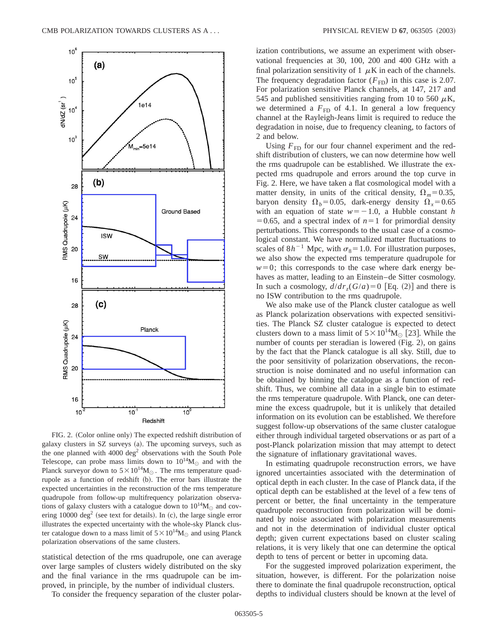

FIG. 2. (Color online only) The expected redshift distribution of galaxy clusters in SZ surveys (a). The upcoming surveys, such as the one planned with 4000 deg<sup>2</sup> observations with the South Pole Telescope, can probe mass limits down to  $10^{14}M_{\odot}$  and with the Planck surveyor down to  $5 \times 10^{14} M_{\odot}$ . The rms temperature quadrupole as a function of redshift (b). The error bars illustrate the expected uncertainties in the reconstruction of the rms temperature quadrupole from follow-up multifrequency polarization observations of galaxy clusters with a catalogue down to  $10^{14}M_{\odot}$  and covering 10000 deg<sup>2</sup> (see text for details). In  $(c)$ , the large single error illustrates the expected uncertainty with the whole-sky Planck cluster catalogue down to a mass limit of  $5 \times 10^{14}$ M<sub> $\odot$ </sub> and using Planck polarization observations of the same clusters.

statistical detection of the rms quadrupole, one can average over large samples of clusters widely distributed on the sky and the final variance in the rms quadrupole can be improved, in principle, by the number of individual clusters.

To consider the frequency separation of the cluster polar-

ization contributions, we assume an experiment with observational frequencies at 30, 100, 200 and 400 GHz with a final polarization sensitivity of 1  $\mu$ K in each of the channels. The frequency degradation factor  $(F_{FD})$  in this case is 2.07. For polarization sensitive Planck channels, at 147, 217 and 545 and published sensitivities ranging from 10 to 560  $\mu$ K, we determined a  $F_{FD}$  of 4.1. In general a low frequency channel at the Rayleigh-Jeans limit is required to reduce the degradation in noise, due to frequency cleaning, to factors of 2 and below.

Using  $F_{FD}$  for our four channel experiment and the redshift distribution of clusters, we can now determine how well the rms quadrupole can be established. We illustrate the expected rms quadrupole and errors around the top curve in Fig. 2. Here, we have taken a flat cosmological model with a matter density, in units of the critical density,  $\Omega_m = 0.35$ , baryon density  $\Omega_b$ =0.05, dark-energy density  $\Omega_x$ =0.65 with an equation of state  $w=-1.0$ , a Hubble constant *h*  $=0.65$ , and a spectral index of  $n=1$  for primordial density perturbations. This corresponds to the usual case of a cosmological constant. We have normalized matter fluctuations to scales of  $8h^{-1}$  Mpc, with  $\sigma_8 = 1.0$ . For illustration purposes, we also show the expected rms temperature quadrupole for  $w=0$ ; this corresponds to the case where dark energy behaves as matter, leading to an Einstein–de Sitter cosmology. In such a cosmology,  $d/dr$ <sub>z</sub>( $G/a$ ) = 0 [Eq. (2)] and there is no ISW contribution to the rms quadrupole.

We also make use of the Planck cluster catalogue as well as Planck polarization observations with expected sensitivities. The Planck SZ cluster catalogue is expected to detect clusters down to a mass limit of  $5 \times 10^{14}$ M<sub>( $\odot$ </sub> [23]. While the number of counts per steradian is lowered  $(Fig. 2)$ , on gains by the fact that the Planck catalogue is all sky. Still, due to the poor sensitivity of polarization observations, the reconstruction is noise dominated and no useful information can be obtained by binning the catalogue as a function of redshift. Thus, we combine all data in a single bin to estimate the rms temperature quadrupole. With Planck, one can determine the excess quadrupole, but it is unlikely that detailed information on its evolution can be established. We therefore suggest follow-up observations of the same cluster catalogue either through individual targeted observations or as part of a post-Planck polarization mission that may attempt to detect the signature of inflationary gravitational waves.

In estimating quadrupole reconstruction errors, we have ignored uncertainties associated with the determination of optical depth in each cluster. In the case of Planck data, if the optical depth can be established at the level of a few tens of percent or better, the final uncertainty in the temperature quadrupole reconstruction from polarization will be dominated by noise associated with polarization measurements and not in the determination of individual cluster optical depth; given current expectations based on cluster scaling relations, it is very likely that one can determine the optical depth to tens of percent or better in upcoming data.

For the suggested improved polarization experiment, the situation, however, is different. For the polarization noise there to dominate the final quadrupole reconstruction, optical depths to individual clusters should be known at the level of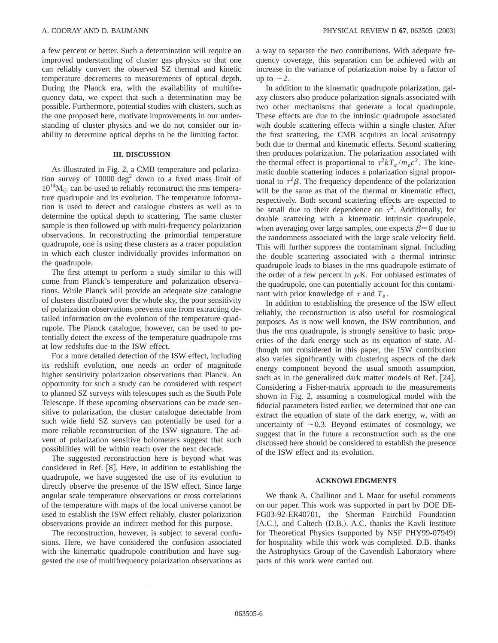a few percent or better. Such a determination will require an improved understanding of cluster gas physics so that one can reliably convert the observed SZ thermal and kinetic temperature decrements to measurements of optical depth. During the Planck era, with the availability of multifrequency data, we expect that such a determination may be possible. Furthermore, potential studies with clusters, such as the one proposed here, motivate improvements in our understanding of cluster physics and we do not consider our inability to determine optical depths to be the limiting factor.

### **III. DISCUSSION**

As illustrated in Fig. 2, a CMB temperature and polarization survey of  $10000 \text{ deg}^2$  down to a fixed mass limit of  $10^{14}M_{\odot}$  can be used to reliably reconstruct the rms temperature quadrupole and its evolution. The temperature information is used to detect and catalogue clusters as well as to determine the optical depth to scattering. The same cluster sample is then followed up with multi-frequency polarization observations. In reconstructing the primordial temperature quadrupole, one is using these clusters as a tracer population in which each cluster individually provides information on the quadrupole.

The first attempt to perform a study similar to this will come from Planck's temperature and polarization observations. While Planck will provide an adequate size catalogue of clusters distributed over the whole sky, the poor sensitivity of polarization observations prevents one from extracting detailed information on the evolution of the temperature quadrupole. The Planck catalogue, however, can be used to potentially detect the excess of the temperature quadrupole rms at low redshifts due to the ISW effect.

For a more detailed detection of the ISW effect, including its redshift evolution, one needs an order of magnitude higher sensitivity polarization observations than Planck. An opportunity for such a study can be considered with respect to planned SZ surveys with telescopes such as the South Pole Telescope. If these upcoming observations can be made sensitive to polarization, the cluster catalogue detectable from such wide field SZ surveys can potentially be used for a more reliable reconstruction of the ISW signature. The advent of polarization sensitive bolometers suggest that such possibilities will be within reach over the next decade.

The suggested reconstruction here is beyond what was considered in Ref. [8]. Here, in addition to establishing the quadrupole, we have suggested the use of its evolution to directly observe the presence of the ISW effect. Since large angular scale temperature observations or cross correlations of the temperature with maps of the local universe cannot be used to establish the ISW effect reliably, cluster polarization observations provide an indirect method for this purpose.

The reconstruction, however, is subject to several confusions. Here, we have considered the confusion associated with the kinematic quadrupole contribution and have suggested the use of multifrequency polarization observations as a way to separate the two contributions. With adequate frequency coverage, this separation can be achieved with an increase in the variance of polarization noise by a factor of up to  $\sim$  2.

In addition to the kinematic quadrupole polarization, galaxy clusters also produce polarization signals associated with two other mechanisms that generate a local quadrupole. These effects are due to the intrinsic quadrupole associated with double scattering effects within a single cluster. After the first scattering, the CMB acquires an local anisotropy both due to thermal and kinematic effects. Second scattering then produces polarization. The polarization associated with the thermal effect is proportional to  $\tau^2 kT_e / m_e c^2$ . The kinematic double scattering induces a polarization signal proportional to  $\tau^2\beta$ . The frequency dependence of the polarization will be the same as that of the thermal or kinematic effect, respectively. Both second scattering effects are expected to be small due to their dependence on  $\tau^2$ . Additionally, for double scattering with a kinematic intrinsic quadrupole, when averaging over large samples, one expects  $\beta \approx 0$  due to the randomness associated with the large scale velocity field. This will further suppress the contaminant signal. Including the double scattering associated with a thermal intrinsic quadrupole leads to biases in the rms quadrupole estimate of the order of a few percent in  $\mu$ K. For unbiased estimates of the quadrupole, one can potentially account for this contaminant with prior knowledge of  $\tau$  and  $T_e$ .

In addition to establishing the presence of the ISW effect reliably, the reconstruction is also useful for cosmological purposes. As is now well known, the ISW contribution, and thus the rms quadrupole, is strongly sensitive to basic properties of the dark energy such as its equation of state. Although not considered in this paper, the ISW contribution also varies significantly with clustering aspects of the dark energy component beyond the usual smooth assumption, such as in the generalized dark matter models of Ref. [24]. Considering a Fisher-matrix approach to the measurements shown in Fig. 2, assuming a cosmological model with the fiducial parameters listed earlier, we determined that one can extract the equation of state of the dark energy, *w*, with an uncertainty of  $\sim$  0.3. Beyond estimates of cosmology, we suggest that in the future a reconstruction such as the one discussed here should be considered to establish the presence of the ISW effect and its evolution.

# **ACKNOWLEDGMENTS**

We thank A. Challinor and I. Maor for useful comments on our paper. This work was supported in part by DOE DE-FG03-92-ER40701, the Sherman Fairchild Foundation (A.C.), and Caltech (D.B.). A.C. thanks the Kavli Institute for Theoretical Physics (supported by NSF PHY99-07949) for hospitality while this work was completed. D.B. thanks the Astrophysics Group of the Cavendish Laboratory where parts of this work were carried out.